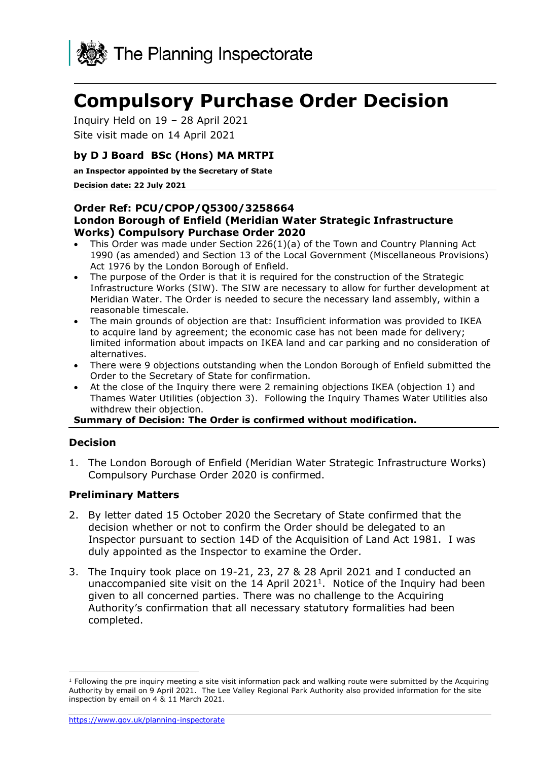

# **Compulsory Purchase Order Decision**

Inquiry Held on 19 – 28 April 2021

Site visit made on 14 April 2021

# **by D J Board BSc (Hons) MA MRTPI**

**an Inspector appointed by the Secretary of State**

#### **Decision date: 22 July 2021**

## **Order Ref: PCU/CPOP/Q5300/3258664 London Borough of Enfield (Meridian Water Strategic Infrastructure Works) Compulsory Purchase Order 2020**

- This Order was made under Section 226(1)(a) of the Town and Country Planning Act 1990 (as amended) and Section 13 of the Local Government (Miscellaneous Provisions) Act 1976 by the London Borough of Enfield.
- The purpose of the Order is that it is required for the construction of the Strategic Infrastructure Works (SIW). The SIW are necessary to allow for further development at Meridian Water. The Order is needed to secure the necessary land assembly, within a reasonable timescale.
- The main grounds of objection are that: Insufficient information was provided to IKEA to acquire land by agreement; the economic case has not been made for delivery; limited information about impacts on IKEA land and car parking and no consideration of alternatives.
- There were 9 objections outstanding when the London Borough of Enfield submitted the Order to the Secretary of State for confirmation.
- At the close of the Inquiry there were 2 remaining objections IKEA (objection 1) and Thames Water Utilities (objection 3). Following the Inquiry Thames Water Utilities also withdrew their objection.

**Summary of Decision: The Order is confirmed without modification.**

# **Decision**

1. The London Borough of Enfield (Meridian Water Strategic Infrastructure Works) Compulsory Purchase Order 2020 is confirmed.

# **Preliminary Matters**

- 2. By letter dated 15 October 2020 the Secretary of State confirmed that the decision whether or not to confirm the Order should be delegated to an Inspector pursuant to section 14D of the Acquisition of Land Act 1981. I was duly appointed as the Inspector to examine the Order.
- 3. The Inquiry took place on 19-21, 23, 27 & 28 April 2021 and I conducted an unaccompanied site visit on the  $14$  April 2021<sup>1</sup>. Notice of the Inquiry had been given to all concerned parties. There was no challenge to the Acquiring Authority's confirmation that all necessary statutory formalities had been completed.

<sup>&</sup>lt;sup>1</sup> Following the pre inquiry meeting a site visit information pack and walking route were submitted by the Acquiring Authority by email on 9 April 2021. The Lee Valley Regional Park Authority also provided information for the site inspection by email on 4 & 11 March 2021.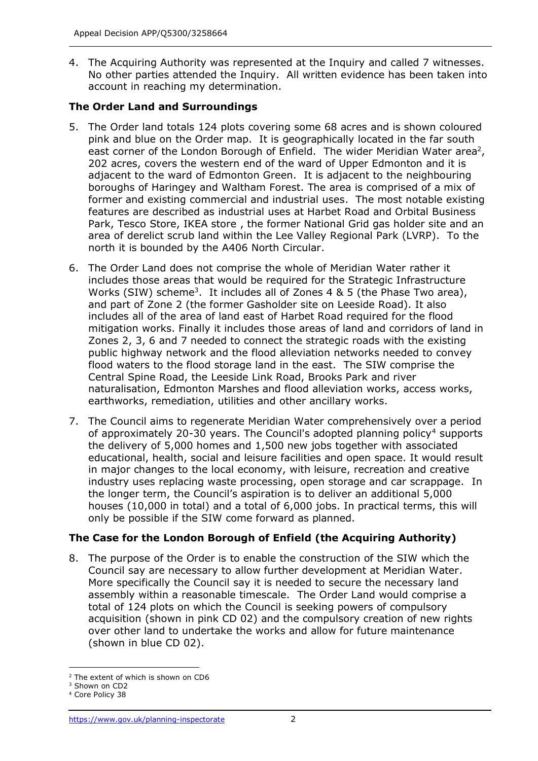4. The Acquiring Authority was represented at the Inquiry and called 7 witnesses. No other parties attended the Inquiry. All written evidence has been taken into account in reaching my determination.

# **The Order Land and Surroundings**

- 5. The Order land totals 124 plots covering some 68 acres and is shown coloured pink and blue on the Order map. It is geographically located in the far south east corner of the London Borough of Enfield. The wider Meridian Water area<sup>2</sup>, 202 acres, covers the western end of the ward of Upper Edmonton and it is adjacent to the ward of Edmonton Green. It is adjacent to the neighbouring boroughs of Haringey and Waltham Forest. The area is comprised of a mix of former and existing commercial and industrial uses. The most notable existing features are described as industrial uses at Harbet Road and Orbital Business Park, Tesco Store, IKEA store , the former National Grid gas holder site and an area of derelict scrub land within the Lee Valley Regional Park (LVRP). To the north it is bounded by the A406 North Circular.
- 6. The Order Land does not comprise the whole of Meridian Water rather it includes those areas that would be required for the Strategic Infrastructure Works (SIW) scheme<sup>3</sup>. It includes all of Zones 4 & 5 (the Phase Two area), and part of Zone 2 (the former Gasholder site on Leeside Road). It also includes all of the area of land east of Harbet Road required for the flood mitigation works. Finally it includes those areas of land and corridors of land in Zones 2, 3, 6 and 7 needed to connect the strategic roads with the existing public highway network and the flood alleviation networks needed to convey flood waters to the flood storage land in the east. The SIW comprise the Central Spine Road, the Leeside Link Road, Brooks Park and river naturalisation, Edmonton Marshes and flood alleviation works, access works, earthworks, remediation, utilities and other ancillary works.
- 7. The Council aims to regenerate Meridian Water comprehensively over a period of approximately 20-30 years. The Council's adopted planning policy<sup>4</sup> supports the delivery of 5,000 homes and 1,500 new jobs together with associated educational, health, social and leisure facilities and open space. It would result in major changes to the local economy, with leisure, recreation and creative industry uses replacing waste processing, open storage and car scrappage. In the longer term, the Council's aspiration is to deliver an additional 5,000 houses (10,000 in total) and a total of 6,000 jobs. In practical terms, this will only be possible if the SIW come forward as planned.

# **The Case for the London Borough of Enfield (the Acquiring Authority)**

8. The purpose of the Order is to enable the construction of the SIW which the Council say are necessary to allow further development at Meridian Water. More specifically the Council say it is needed to secure the necessary land assembly within a reasonable timescale. The Order Land would comprise a total of 124 plots on which the Council is seeking powers of compulsory acquisition (shown in pink CD 02) and the compulsory creation of new rights over other land to undertake the works and allow for future maintenance (shown in blue CD 02).

<sup>2</sup> The extent of which is shown on CD6

<sup>&</sup>lt;sup>3</sup> Shown on CD2

<sup>4</sup> Core Policy 38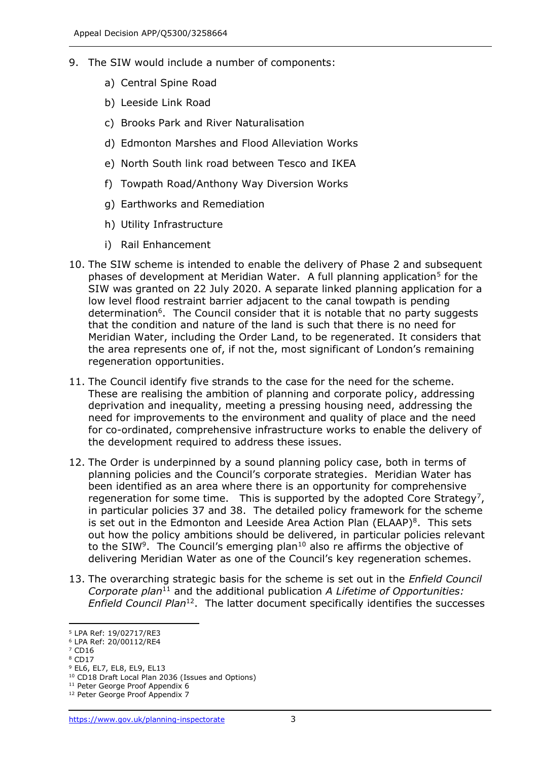- 9. The SIW would include a number of components:
	- a) Central Spine Road
	- b) Leeside Link Road
	- c) Brooks Park and River Naturalisation
	- d) Edmonton Marshes and Flood Alleviation Works
	- e) North South link road between Tesco and IKEA
	- f) Towpath Road/Anthony Way Diversion Works
	- g) Earthworks and Remediation
	- h) Utility Infrastructure
	- i) Rail Enhancement
- 10. The SIW scheme is intended to enable the delivery of Phase 2 and subsequent phases of development at Meridian Water. A full planning application<sup>5</sup> for the SIW was granted on 22 July 2020. A separate linked planning application for a low level flood restraint barrier adjacent to the canal towpath is pending determination<sup>6</sup>. The Council consider that it is notable that no party suggests that the condition and nature of the land is such that there is no need for Meridian Water, including the Order Land, to be regenerated. It considers that the area represents one of, if not the, most significant of London's remaining regeneration opportunities.
- 11. The Council identify five strands to the case for the need for the scheme. These are realising the ambition of planning and corporate policy, addressing deprivation and inequality, meeting a pressing housing need, addressing the need for improvements to the environment and quality of place and the need for co-ordinated, comprehensive infrastructure works to enable the delivery of the development required to address these issues.
- 12. The Order is underpinned by a sound planning policy case, both in terms of planning policies and the Council's corporate strategies. Meridian Water has been identified as an area where there is an opportunity for comprehensive regeneration for some time. This is supported by the adopted Core Strategy<sup>7</sup>, in particular policies 37 and 38. The detailed policy framework for the scheme is set out in the Edmonton and Leeside Area Action Plan (ELAAP) $8$ . This sets out how the policy ambitions should be delivered, in particular policies relevant to the SIW<sup>9</sup>. The Council's emerging plan<sup>10</sup> also re affirms the objective of delivering Meridian Water as one of the Council's key regeneration schemes.
- 13. The overarching strategic basis for the scheme is set out in the *Enfield Council Corporate plan*<sup>11</sup> and the additional publication *A Lifetime of Opportunities:*  Enfield Council Plan<sup>12</sup>. The latter document specifically identifies the successes

<sup>8</sup> CD17

<sup>5</sup> LPA Ref: 19/02717/RE3

<sup>6</sup> LPA Ref: 20/00112/RE4 <sup>7</sup> CD16

<sup>9</sup> EL6, EL7, EL8, EL9, EL13

<sup>10</sup> CD18 Draft Local Plan 2036 (Issues and Options)

<sup>&</sup>lt;sup>11</sup> Peter George Proof Appendix 6

<sup>&</sup>lt;sup>12</sup> Peter George Proof Appendix 7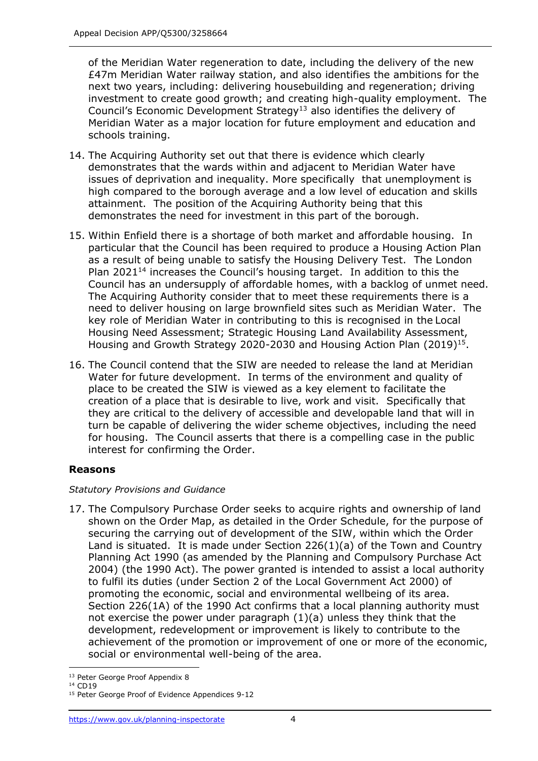of the Meridian Water regeneration to date, including the delivery of the new £47m Meridian Water railway station, and also identifies the ambitions for the next two years, including: delivering housebuilding and regeneration; driving investment to create good growth; and creating high-quality employment. The Council's Economic Development Strategy<sup>13</sup> also identifies the delivery of Meridian Water as a major location for future employment and education and schools training.

- 14. The Acquiring Authority set out that there is evidence which clearly demonstrates that the wards within and adjacent to Meridian Water have issues of deprivation and inequality. More specifically that unemployment is high compared to the borough average and a low level of education and skills attainment. The position of the Acquiring Authority being that this demonstrates the need for investment in this part of the borough.
- 15. Within Enfield there is a shortage of both market and affordable housing. In particular that the Council has been required to produce a Housing Action Plan as a result of being unable to satisfy the Housing Delivery Test. The London Plan  $2021^{14}$  increases the Council's housing target. In addition to this the Council has an undersupply of affordable homes, with a backlog of unmet need. The Acquiring Authority consider that to meet these requirements there is a need to deliver housing on large brownfield sites such as Meridian Water. The key role of Meridian Water in contributing to this is recognised in the Local Housing Need Assessment; Strategic Housing Land Availability Assessment, Housing and Growth Strategy 2020-2030 and Housing Action Plan  $(2019)^{15}$ .
- 16. The Council contend that the SIW are needed to release the land at Meridian Water for future development. In terms of the environment and quality of place to be created the SIW is viewed as a key element to facilitate the creation of a place that is desirable to live, work and visit. Specifically that they are critical to the delivery of accessible and developable land that will in turn be capable of delivering the wider scheme objectives, including the need for housing. The Council asserts that there is a compelling case in the public interest for confirming the Order.

# **Reasons**

# *Statutory Provisions and Guidance*

17. The Compulsory Purchase Order seeks to acquire rights and ownership of land shown on the Order Map, as detailed in the Order Schedule, for the purpose of securing the carrying out of development of the SIW, within which the Order Land is situated. It is made under Section 226(1)(a) of the Town and Country Planning Act 1990 (as amended by the Planning and Compulsory Purchase Act 2004) (the 1990 Act). The power granted is intended to assist a local authority to fulfil its duties (under Section 2 of the Local Government Act 2000) of promoting the economic, social and environmental wellbeing of its area. Section 226(1A) of the 1990 Act confirms that a local planning authority must not exercise the power under paragraph  $(1)(a)$  unless they think that the development, redevelopment or improvement is likely to contribute to the achievement of the promotion or improvement of one or more of the economic, social or environmental well-being of the area.

<sup>&</sup>lt;sup>13</sup> Peter George Proof Appendix 8

<sup>14</sup> CD19

<sup>&</sup>lt;sup>15</sup> Peter George Proof of Evidence Appendices 9-12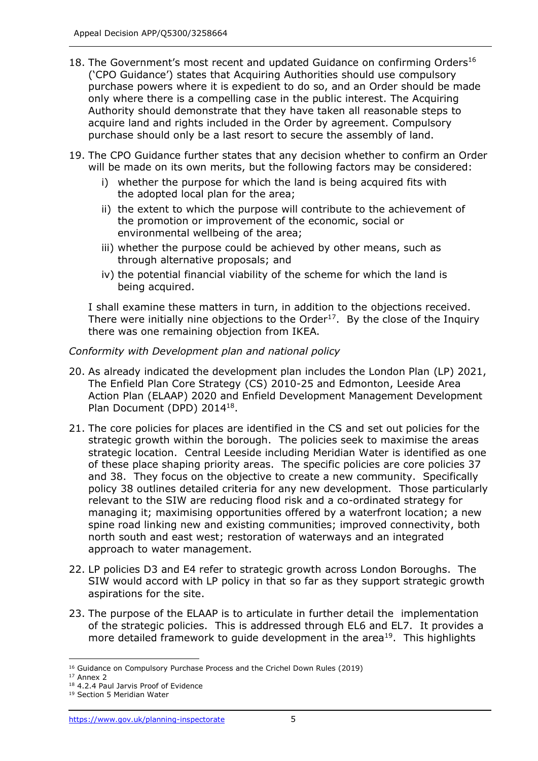- 18. The Government's most recent and updated Guidance on confirming Orders<sup>16</sup> ('CPO Guidance') states that Acquiring Authorities should use compulsory purchase powers where it is expedient to do so, and an Order should be made only where there is a compelling case in the public interest. The Acquiring Authority should demonstrate that they have taken all reasonable steps to acquire land and rights included in the Order by agreement. Compulsory purchase should only be a last resort to secure the assembly of land.
- 19. The CPO Guidance further states that any decision whether to confirm an Order will be made on its own merits, but the following factors may be considered:
	- i) whether the purpose for which the land is being acquired fits with the adopted local plan for the area;
	- ii) the extent to which the purpose will contribute to the achievement of the promotion or improvement of the economic, social or environmental wellbeing of the area;
	- iii) whether the purpose could be achieved by other means, such as through alternative proposals; and
	- iv) the potential financial viability of the scheme for which the land is being acquired.

I shall examine these matters in turn, in addition to the objections received. There were initially nine objections to the Order<sup>17</sup>. By the close of the Inquiry there was one remaining objection from IKEA.

# *Conformity with Development plan and national policy*

- 20. As already indicated the development plan includes the London Plan (LP) 2021, The Enfield Plan Core Strategy (CS) 2010-25 and Edmonton, Leeside Area Action Plan (ELAAP) 2020 and Enfield Development Management Development Plan Document (DPD) 2014<sup>18</sup>.
- 21. The core policies for places are identified in the CS and set out policies for the strategic growth within the borough. The policies seek to maximise the areas strategic location. Central Leeside including Meridian Water is identified as one of these place shaping priority areas. The specific policies are core policies 37 and 38. They focus on the objective to create a new community. Specifically policy 38 outlines detailed criteria for any new development. Those particularly relevant to the SIW are reducing flood risk and a co-ordinated strategy for managing it; maximising opportunities offered by a waterfront location; a new spine road linking new and existing communities; improved connectivity, both north south and east west; restoration of waterways and an integrated approach to water management.
- 22. LP policies D3 and E4 refer to strategic growth across London Boroughs. The SIW would accord with LP policy in that so far as they support strategic growth aspirations for the site.
- 23. The purpose of the ELAAP is to articulate in further detail the implementation of the strategic policies. This is addressed through EL6 and EL7. It provides a more detailed framework to guide development in the area<sup>19</sup>. This highlights

<sup>16</sup> Guidance on Compulsory Purchase Process and the Crichel Down Rules (2019)

<sup>17</sup> Annex 2

<sup>18</sup> 4.2.4 Paul Jarvis Proof of Evidence

<sup>19</sup> Section 5 Meridian Water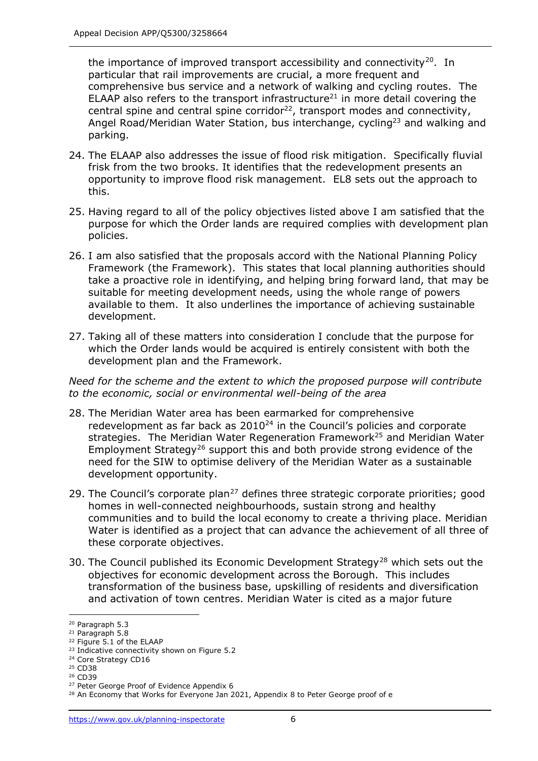the importance of improved transport accessibility and connectivity<sup>20</sup>. In particular that rail improvements are crucial, a more frequent and comprehensive bus service and a network of walking and cycling routes. The ELAAP also refers to the transport infrastructure<sup>21</sup> in more detail covering the central spine and central spine corridor<sup>22</sup>, transport modes and connectivity, Angel Road/Meridian Water Station, bus interchange, cycling<sup>23</sup> and walking and parking.

- 24. The ELAAP also addresses the issue of flood risk mitigation. Specifically fluvial frisk from the two brooks. It identifies that the redevelopment presents an opportunity to improve flood risk management. EL8 sets out the approach to this.
- 25. Having regard to all of the policy objectives listed above I am satisfied that the purpose for which the Order lands are required complies with development plan policies.
- 26. I am also satisfied that the proposals accord with the National Planning Policy Framework (the Framework). This states that local planning authorities should take a proactive role in identifying, and helping bring forward land, that may be suitable for meeting development needs, using the whole range of powers available to them. It also underlines the importance of achieving sustainable development.
- 27. Taking all of these matters into consideration I conclude that the purpose for which the Order lands would be acquired is entirely consistent with both the development plan and the Framework.

*Need for the scheme and the extent to which the proposed purpose will contribute to the economic, social or environmental well-being of the area*

- 28. The Meridian Water area has been earmarked for comprehensive redevelopment as far back as  $2010^{24}$  in the Council's policies and corporate strategies. The Meridian Water Regeneration Framework<sup>25</sup> and Meridian Water Employment Strategy<sup>26</sup> support this and both provide strong evidence of the need for the SIW to optimise delivery of the Meridian Water as a sustainable development opportunity.
- 29. The Council's corporate plan<sup>27</sup> defines three strategic corporate priorities; good homes in well-connected neighbourhoods, sustain strong and healthy communities and to build the local economy to create a thriving place. Meridian Water is identified as a project that can advance the achievement of all three of these corporate objectives.
- 30. The Council published its Economic Development Strategy<sup>28</sup> which sets out the objectives for economic development across the Borough. This includes transformation of the business base, upskilling of residents and diversification and activation of town centres. Meridian Water is cited as a major future

<sup>20</sup> Paragraph 5.3

<sup>21</sup> Paragraph 5.8

<sup>22</sup> Figure 5.1 of the ELAAP

<sup>23</sup> Indicative connectivity shown on Figure 5.2

<sup>&</sup>lt;sup>24</sup> Core Strategy CD16

<sup>25</sup> CD38

<sup>26</sup> CD39

<sup>27</sup> Peter George Proof of Evidence Appendix 6

<sup>&</sup>lt;sup>28</sup> An Economy that Works for Everyone Jan 2021, Appendix 8 to Peter George proof of e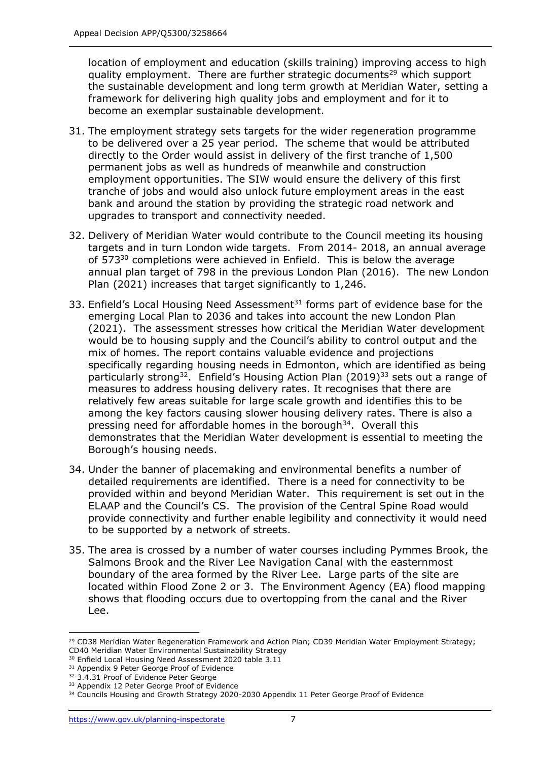location of employment and education (skills training) improving access to high quality employment. There are further strategic documents<sup>29</sup> which support the sustainable development and long term growth at Meridian Water, setting a framework for delivering high quality jobs and employment and for it to become an exemplar sustainable development.

- 31. The employment strategy sets targets for the wider regeneration programme to be delivered over a 25 year period. The scheme that would be attributed directly to the Order would assist in delivery of the first tranche of 1,500 permanent jobs as well as hundreds of meanwhile and construction employment opportunities. The SIW would ensure the delivery of this first tranche of jobs and would also unlock future employment areas in the east bank and around the station by providing the strategic road network and upgrades to transport and connectivity needed.
- 32. Delivery of Meridian Water would contribute to the Council meeting its housing targets and in turn London wide targets. From 2014- 2018, an annual average of 573<sup>30</sup> completions were achieved in Enfield. This is below the average annual plan target of 798 in the previous London Plan (2016). The new London Plan (2021) increases that target significantly to 1,246.
- 33. Enfield's Local Housing Need Assessment $31$  forms part of evidence base for the emerging Local Plan to 2036 and takes into account the new London Plan (2021). The assessment stresses how critical the Meridian Water development would be to housing supply and the Council's ability to control output and the mix of homes. The report contains valuable evidence and projections specifically regarding housing needs in Edmonton, which are identified as being particularly strong<sup>32</sup>. Enfield's Housing Action Plan (2019)<sup>33</sup> sets out a range of measures to address housing delivery rates. It recognises that there are relatively few areas suitable for large scale growth and identifies this to be among the key factors causing slower housing delivery rates. There is also a pressing need for affordable homes in the borough<sup>34</sup>. Overall this demonstrates that the Meridian Water development is essential to meeting the Borough's housing needs.
- 34. Under the banner of placemaking and environmental benefits a number of detailed requirements are identified. There is a need for connectivity to be provided within and beyond Meridian Water. This requirement is set out in the ELAAP and the Council's CS. The provision of the Central Spine Road would provide connectivity and further enable legibility and connectivity it would need to be supported by a network of streets.
- 35. The area is crossed by a number of water courses including Pymmes Brook, the Salmons Brook and the River Lee Navigation Canal with the easternmost boundary of the area formed by the River Lee. Large parts of the site are located within Flood Zone 2 or 3. The Environment Agency (EA) flood mapping shows that flooding occurs due to overtopping from the canal and the River Lee.

<sup>&</sup>lt;sup>29</sup> CD38 Meridian Water Regeneration Framework and Action Plan; CD39 Meridian Water Employment Strategy; CD40 Meridian Water Environmental Sustainability Strategy

<sup>&</sup>lt;sup>30</sup> Enfield Local Housing Need Assessment 2020 table 3.11

<sup>31</sup> Appendix 9 Peter George Proof of Evidence

<sup>&</sup>lt;sup>32</sup> 3.4.31 Proof of Evidence Peter George

<sup>&</sup>lt;sup>33</sup> Appendix 12 Peter George Proof of Evidence

<sup>&</sup>lt;sup>34</sup> Councils Housing and Growth Strategy 2020-2030 Appendix 11 Peter George Proof of Evidence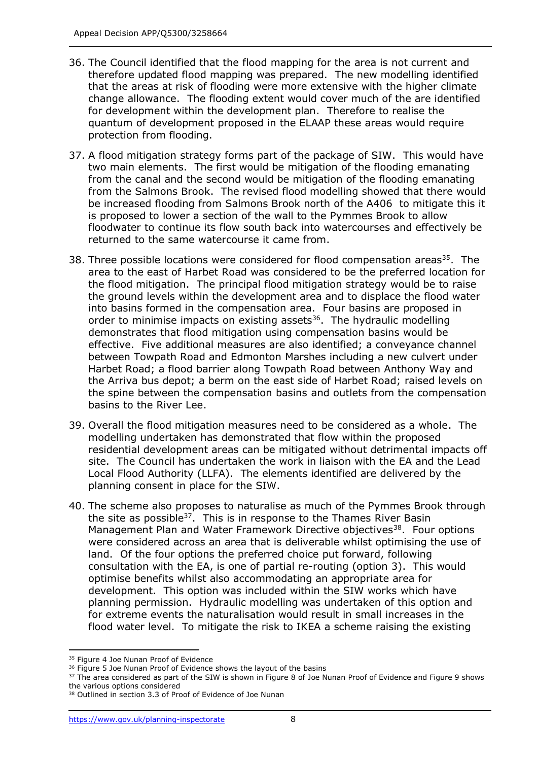- 36. The Council identified that the flood mapping for the area is not current and therefore updated flood mapping was prepared. The new modelling identified that the areas at risk of flooding were more extensive with the higher climate change allowance. The flooding extent would cover much of the are identified for development within the development plan. Therefore to realise the quantum of development proposed in the ELAAP these areas would require protection from flooding.
- 37. A flood mitigation strategy forms part of the package of SIW. This would have two main elements. The first would be mitigation of the flooding emanating from the canal and the second would be mitigation of the flooding emanating from the Salmons Brook. The revised flood modelling showed that there would be increased flooding from Salmons Brook north of the A406 to mitigate this it is proposed to lower a section of the wall to the Pymmes Brook to allow floodwater to continue its flow south back into watercourses and effectively be returned to the same watercourse it came from.
- 38. Three possible locations were considered for flood compensation areas<sup>35</sup>. The area to the east of Harbet Road was considered to be the preferred location for the flood mitigation. The principal flood mitigation strategy would be to raise the ground levels within the development area and to displace the flood water into basins formed in the compensation area. Four basins are proposed in order to minimise impacts on existing assets $36$ . The hydraulic modelling demonstrates that flood mitigation using compensation basins would be effective. Five additional measures are also identified; a conveyance channel between Towpath Road and Edmonton Marshes including a new culvert under Harbet Road; a flood barrier along Towpath Road between Anthony Way and the Arriva bus depot; a berm on the east side of Harbet Road; raised levels on the spine between the compensation basins and outlets from the compensation basins to the River Lee.
- 39. Overall the flood mitigation measures need to be considered as a whole. The modelling undertaken has demonstrated that flow within the proposed residential development areas can be mitigated without detrimental impacts off site. The Council has undertaken the work in liaison with the EA and the Lead Local Flood Authority (LLFA). The elements identified are delivered by the planning consent in place for the SIW.
- 40. The scheme also proposes to naturalise as much of the Pymmes Brook through the site as possible<sup>37</sup>. This is in response to the Thames River Basin Management Plan and Water Framework Directive objectives<sup>38</sup>. Four options were considered across an area that is deliverable whilst optimising the use of land. Of the four options the preferred choice put forward, following consultation with the EA, is one of partial re-routing (option 3). This would optimise benefits whilst also accommodating an appropriate area for development. This option was included within the SIW works which have planning permission. Hydraulic modelling was undertaken of this option and for extreme events the naturalisation would result in small increases in the flood water level. To mitigate the risk to IKEA a scheme raising the existing

<sup>&</sup>lt;sup>35</sup> Figure 4 Joe Nunan Proof of Evidence

<sup>&</sup>lt;sup>36</sup> Figure 5 Joe Nunan Proof of Evidence shows the layout of the basins

<sup>&</sup>lt;sup>37</sup> The area considered as part of the SIW is shown in Figure 8 of Joe Nunan Proof of Evidence and Figure 9 shows the various options considered

<sup>38</sup> Outlined in section 3.3 of Proof of Evidence of Joe Nunan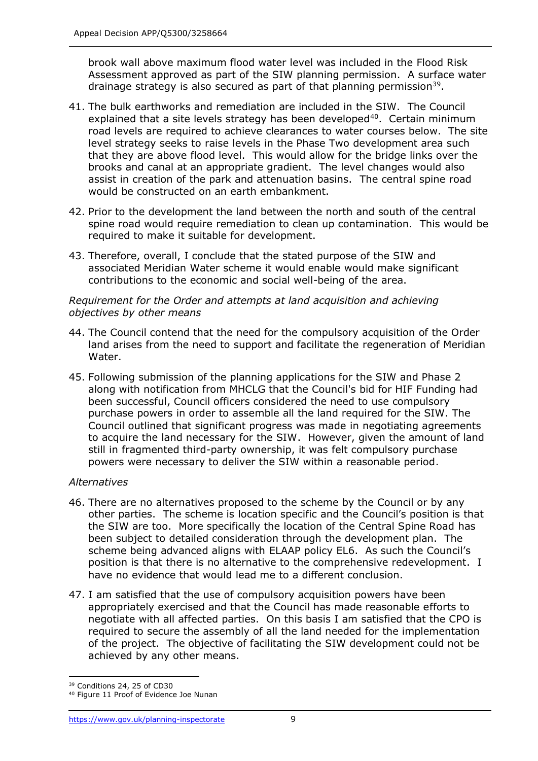brook wall above maximum flood water level was included in the Flood Risk Assessment approved as part of the SIW planning permission. A surface water drainage strategy is also secured as part of that planning permission<sup>39</sup>.

- 41. The bulk earthworks and remediation are included in the SIW. The Council explained that a site levels strategy has been developed $40$ . Certain minimum road levels are required to achieve clearances to water courses below. The site level strategy seeks to raise levels in the Phase Two development area such that they are above flood level. This would allow for the bridge links over the brooks and canal at an appropriate gradient. The level changes would also assist in creation of the park and attenuation basins. The central spine road would be constructed on an earth embankment.
- 42. Prior to the development the land between the north and south of the central spine road would require remediation to clean up contamination. This would be required to make it suitable for development.
- 43. Therefore, overall, I conclude that the stated purpose of the SIW and associated Meridian Water scheme it would enable would make significant contributions to the economic and social well-being of the area.

## *Requirement for the Order and attempts at land acquisition and achieving objectives by other means*

- 44. The Council contend that the need for the compulsory acquisition of the Order land arises from the need to support and facilitate the regeneration of Meridian Water.
- 45. Following submission of the planning applications for the SIW and Phase 2 along with notification from MHCLG that the Council's bid for HIF Funding had been successful, Council officers considered the need to use compulsory purchase powers in order to assemble all the land required for the SIW. The Council outlined that significant progress was made in negotiating agreements to acquire the land necessary for the SIW. However, given the amount of land still in fragmented third-party ownership, it was felt compulsory purchase powers were necessary to deliver the SIW within a reasonable period.

# *Alternatives*

- 46. There are no alternatives proposed to the scheme by the Council or by any other parties. The scheme is location specific and the Council's position is that the SIW are too. More specifically the location of the Central Spine Road has been subject to detailed consideration through the development plan. The scheme being advanced aligns with ELAAP policy EL6. As such the Council's position is that there is no alternative to the comprehensive redevelopment. I have no evidence that would lead me to a different conclusion.
- 47. I am satisfied that the use of compulsory acquisition powers have been appropriately exercised and that the Council has made reasonable efforts to negotiate with all affected parties. On this basis I am satisfied that the CPO is required to secure the assembly of all the land needed for the implementation of the project. The objective of facilitating the SIW development could not be achieved by any other means.

<sup>39</sup> Conditions 24, 25 of CD30

<sup>40</sup> Figure 11 Proof of Evidence Joe Nunan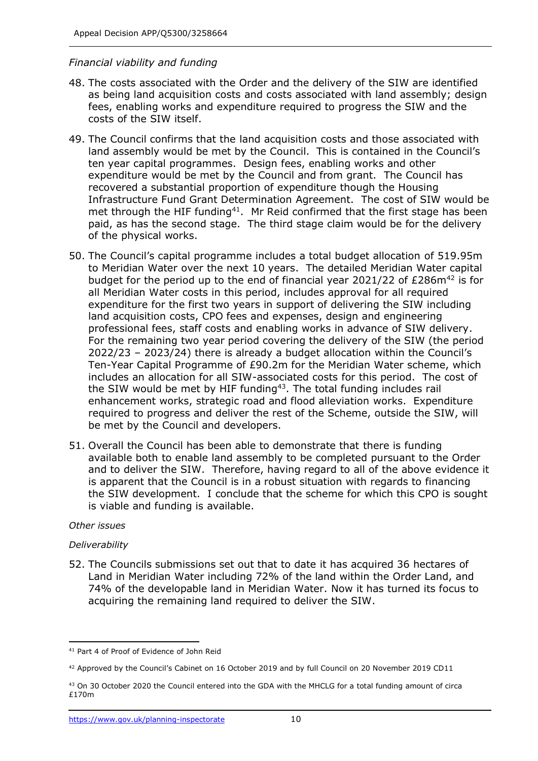# *Financial viability and funding*

- 48. The costs associated with the Order and the delivery of the SIW are identified as being land acquisition costs and costs associated with land assembly; design fees, enabling works and expenditure required to progress the SIW and the costs of the SIW itself.
- 49. The Council confirms that the land acquisition costs and those associated with land assembly would be met by the Council. This is contained in the Council's ten year capital programmes. Design fees, enabling works and other expenditure would be met by the Council and from grant. The Council has recovered a substantial proportion of expenditure though the Housing Infrastructure Fund Grant Determination Agreement. The cost of SIW would be met through the HIF funding<sup>41</sup>. Mr Reid confirmed that the first stage has been paid, as has the second stage. The third stage claim would be for the delivery of the physical works.
- 50. The Council's capital programme includes a total budget allocation of 519.95m to Meridian Water over the next 10 years. The detailed Meridian Water capital budget for the period up to the end of financial year 2021/22 of  $E286m^{42}$  is for all Meridian Water costs in this period, includes approval for all required expenditure for the first two years in support of delivering the SIW including land acquisition costs, CPO fees and expenses, design and engineering professional fees, staff costs and enabling works in advance of SIW delivery. For the remaining two year period covering the delivery of the SIW (the period 2022/23 – 2023/24) there is already a budget allocation within the Council's Ten-Year Capital Programme of £90.2m for the Meridian Water scheme, which includes an allocation for all SIW-associated costs for this period. The cost of the SIW would be met by HIF funding<sup>43</sup>. The total funding includes rail enhancement works, strategic road and flood alleviation works. Expenditure required to progress and deliver the rest of the Scheme, outside the SIW, will be met by the Council and developers.
- 51. Overall the Council has been able to demonstrate that there is funding available both to enable land assembly to be completed pursuant to the Order and to deliver the SIW. Therefore, having regard to all of the above evidence it is apparent that the Council is in a robust situation with regards to financing the SIW development. I conclude that the scheme for which this CPO is sought is viable and funding is available.

#### *Other issues*

#### *Deliverability*

52. The Councils submissions set out that to date it has acquired 36 hectares of Land in Meridian Water including 72% of the land within the Order Land, and 74% of the developable land in Meridian Water. Now it has turned its focus to acquiring the remaining land required to deliver the SIW.

<sup>41</sup> Part 4 of Proof of Evidence of John Reid

<sup>42</sup> Approved by the Council's Cabinet on 16 October 2019 and by full Council on 20 November 2019 CD11

<sup>43</sup> On 30 October 2020 the Council entered into the GDA with the MHCLG for a total funding amount of circa £170m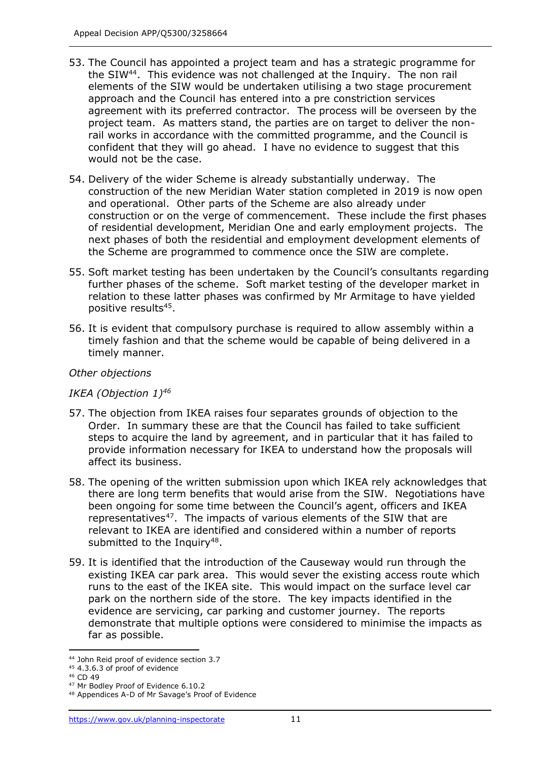- 53. The Council has appointed a project team and has a strategic programme for the SIW<sup>44</sup>. This evidence was not challenged at the Inquiry. The non rail elements of the SIW would be undertaken utilising a two stage procurement approach and the Council has entered into a pre constriction services agreement with its preferred contractor. The process will be overseen by the project team. As matters stand, the parties are on target to deliver the nonrail works in accordance with the committed programme, and the Council is confident that they will go ahead. I have no evidence to suggest that this would not be the case.
- 54. Delivery of the wider Scheme is already substantially underway. The construction of the new Meridian Water station completed in 2019 is now open and operational. Other parts of the Scheme are also already under construction or on the verge of commencement. These include the first phases of residential development, Meridian One and early employment projects. The next phases of both the residential and employment development elements of the Scheme are programmed to commence once the SIW are complete.
- 55. Soft market testing has been undertaken by the Council's consultants regarding further phases of the scheme. Soft market testing of the developer market in relation to these latter phases was confirmed by Mr Armitage to have yielded positive results<sup>45</sup>.
- 56. It is evident that compulsory purchase is required to allow assembly within a timely fashion and that the scheme would be capable of being delivered in a timely manner.

# *Other objections*

# *IKEA (Objection 1)<sup>46</sup>*

- 57. The objection from IKEA raises four separates grounds of objection to the Order. In summary these are that the Council has failed to take sufficient steps to acquire the land by agreement, and in particular that it has failed to provide information necessary for IKEA to understand how the proposals will affect its business.
- 58. The opening of the written submission upon which IKEA rely acknowledges that there are long term benefits that would arise from the SIW. Negotiations have been ongoing for some time between the Council's agent, officers and IKEA representatives<sup>47</sup>. The impacts of various elements of the SIW that are relevant to IKEA are identified and considered within a number of reports submitted to the Inquiry<sup>48</sup>.
- 59. It is identified that the introduction of the Causeway would run through the existing IKEA car park area. This would sever the existing access route which runs to the east of the IKEA site. This would impact on the surface level car park on the northern side of the store. The key impacts identified in the evidence are servicing, car parking and customer journey. The reports demonstrate that multiple options were considered to minimise the impacts as far as possible.

<sup>44</sup> John Reid proof of evidence section 3.7

<sup>45</sup> 4.3.6.3 of proof of evidence

<sup>46</sup> CD 49

<sup>47</sup> Mr Bodley Proof of Evidence 6.10.2

<sup>48</sup> Appendices A-D of Mr Savage's Proof of Evidence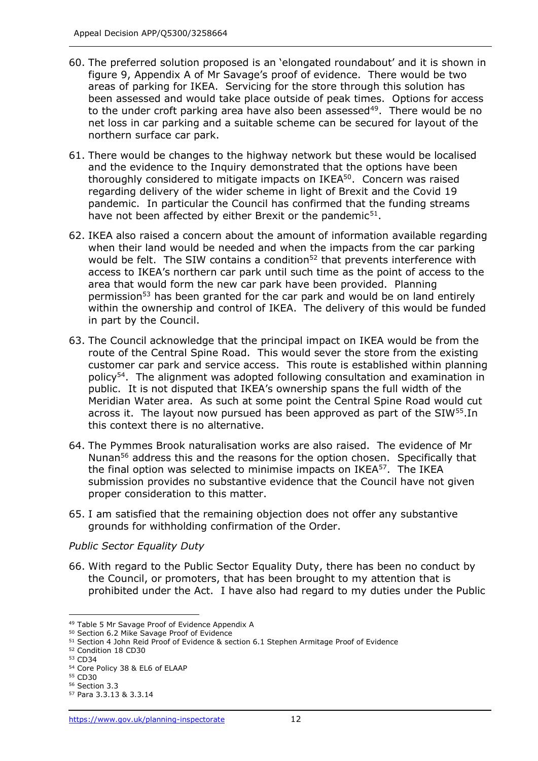- 60. The preferred solution proposed is an 'elongated roundabout' and it is shown in figure 9, Appendix A of Mr Savage's proof of evidence. There would be two areas of parking for IKEA. Servicing for the store through this solution has been assessed and would take place outside of peak times. Options for access to the under croft parking area have also been assessed<sup>49</sup>. There would be no net loss in car parking and a suitable scheme can be secured for layout of the northern surface car park.
- 61. There would be changes to the highway network but these would be localised and the evidence to the Inquiry demonstrated that the options have been thoroughly considered to mitigate impacts on IKEA<sup>50</sup>. Concern was raised regarding delivery of the wider scheme in light of Brexit and the Covid 19 pandemic. In particular the Council has confirmed that the funding streams have not been affected by either Brexit or the pandemic $51$ .
- 62. IKEA also raised a concern about the amount of information available regarding when their land would be needed and when the impacts from the car parking would be felt. The SIW contains a condition $52$  that prevents interference with access to IKEA's northern car park until such time as the point of access to the area that would form the new car park have been provided. Planning permission<sup>53</sup> has been granted for the car park and would be on land entirely within the ownership and control of IKEA. The delivery of this would be funded in part by the Council.
- 63. The Council acknowledge that the principal impact on IKEA would be from the route of the Central Spine Road. This would sever the store from the existing customer car park and service access. This route is established within planning policy<sup>54</sup>. The alignment was adopted following consultation and examination in public. It is not disputed that IKEA's ownership spans the full width of the Meridian Water area. As such at some point the Central Spine Road would cut across it. The layout now pursued has been approved as part of the SIW<sup>55</sup>. In this context there is no alternative.
- 64. The Pymmes Brook naturalisation works are also raised. The evidence of Mr Nunan<sup>56</sup> address this and the reasons for the option chosen. Specifically that the final option was selected to minimise impacts on  $IKEA^{57}$ . The IKEA submission provides no substantive evidence that the Council have not given proper consideration to this matter.
- 65. I am satisfied that the remaining objection does not offer any substantive grounds for withholding confirmation of the Order.

# *Public Sector Equality Duty*

66. With regard to the Public Sector Equality Duty, there has been no conduct by the Council, or promoters, that has been brought to my attention that is prohibited under the Act. I have also had regard to my duties under the Public

<sup>49</sup> Table 5 Mr Savage Proof of Evidence Appendix A

<sup>50</sup> Section 6.2 Mike Savage Proof of Evidence

<sup>51</sup> Section 4 John Reid Proof of Evidence & section 6.1 Stephen Armitage Proof of Evidence

<sup>52</sup> Condition 18 CD30

<sup>53</sup> CD34

<sup>54</sup> Core Policy 38 & EL6 of ELAAP

<sup>55</sup> CD30

<sup>56</sup> Section 3.3

<sup>57</sup> Para 3.3.13 & 3.3.14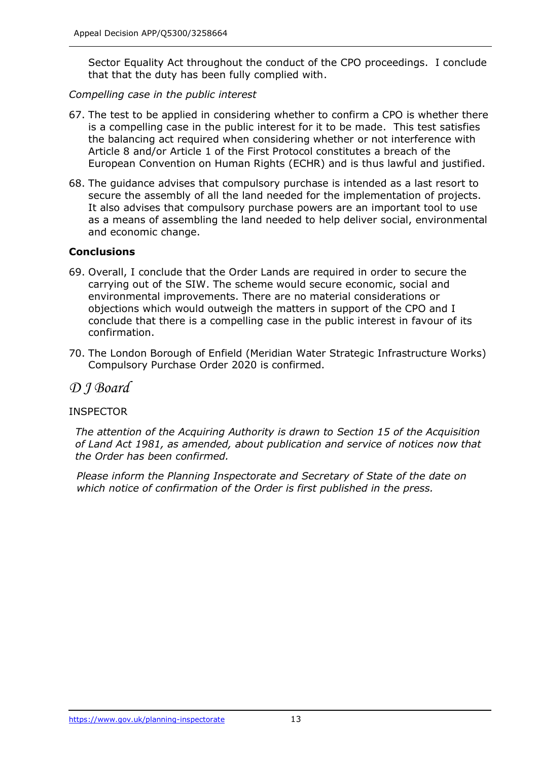Sector Equality Act throughout the conduct of the CPO proceedings. I conclude that that the duty has been fully complied with.

*Compelling case in the public interest* 

- 67. The test to be applied in considering whether to confirm a CPO is whether there is a compelling case in the public interest for it to be made. This test satisfies the balancing act required when considering whether or not interference with Article 8 and/or Article 1 of the First Protocol constitutes a breach of the European Convention on Human Rights (ECHR) and is thus lawful and justified.
- 68. The guidance advises that compulsory purchase is intended as a last resort to secure the assembly of all the land needed for the implementation of projects. It also advises that compulsory purchase powers are an important tool to use as a means of assembling the land needed to help deliver social, environmental and economic change.

# **Conclusions**

- 69. Overall, I conclude that the Order Lands are required in order to secure the carrying out of the SIW. The scheme would secure economic, social and environmental improvements. There are no material considerations or objections which would outweigh the matters in support of the CPO and I conclude that there is a compelling case in the public interest in favour of its confirmation.
- 70. The London Borough of Enfield (Meridian Water Strategic Infrastructure Works) Compulsory Purchase Order 2020 is confirmed.

*D J Board*

# **INSPECTOR**

*The attention of the Acquiring Authority is drawn to Section 15 of the Acquisition of Land Act 1981, as amended, about publication and service of notices now that the Order has been confirmed.* 

*Please inform the Planning Inspectorate and Secretary of State of the date on which notice of confirmation of the Order is first published in the press.*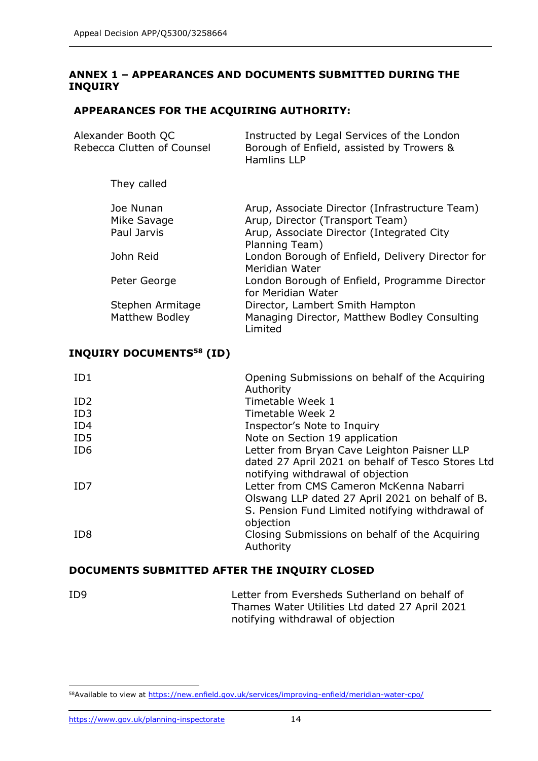# **ANNEX 1 – APPEARANCES AND DOCUMENTS SUBMITTED DURING THE INQUIRY**

# **APPEARANCES FOR THE ACQUIRING AUTHORITY:**

| Instructed by Legal Services of the London<br>Borough of Enfield, assisted by Trowers &<br><b>Hamlins LLP</b>                                    |
|--------------------------------------------------------------------------------------------------------------------------------------------------|
|                                                                                                                                                  |
| Arup, Associate Director (Infrastructure Team)<br>Arup, Director (Transport Team)<br>Arup, Associate Director (Integrated City<br>Planning Team) |
| London Borough of Enfield, Delivery Director for<br>Meridian Water                                                                               |
| London Borough of Enfield, Programme Director<br>for Meridian Water                                                                              |
| Director, Lambert Smith Hampton<br>Managing Director, Matthew Bodley Consulting<br>Limited                                                       |
|                                                                                                                                                  |

# **INQUIRY DOCUMENTS<sup>58</sup> (ID)**

| ID1             | Opening Submissions on behalf of the Acquiring<br>Authority |
|-----------------|-------------------------------------------------------------|
| ID <sub>2</sub> | Timetable Week 1                                            |
| ID <sub>3</sub> | Timetable Week 2                                            |
| ID <sub>4</sub> | Inspector's Note to Inquiry                                 |
| ID5             | Note on Section 19 application                              |
| ID <sub>6</sub> | Letter from Bryan Cave Leighton Paisner LLP                 |
|                 | dated 27 April 2021 on behalf of Tesco Stores Ltd           |
|                 | notifying withdrawal of objection                           |
| ID7             | Letter from CMS Cameron McKenna Nabarri                     |
|                 | Olswang LLP dated 27 April 2021 on behalf of B.             |
|                 | S. Pension Fund Limited notifying withdrawal of             |
|                 | objection                                                   |
| ID <sub>8</sub> | Closing Submissions on behalf of the Acquiring              |
|                 | Authority                                                   |

# **DOCUMENTS SUBMITTED AFTER THE INQUIRY CLOSED**

| ID <sub>9</sub> | Letter from Eversheds Sutherland on behalf of  |
|-----------------|------------------------------------------------|
|                 | Thames Water Utilities Ltd dated 27 April 2021 |
|                 | notifying withdrawal of objection              |

<sup>58</sup>Available to view at<https://new.enfield.gov.uk/services/improving-enfield/meridian-water-cpo/>